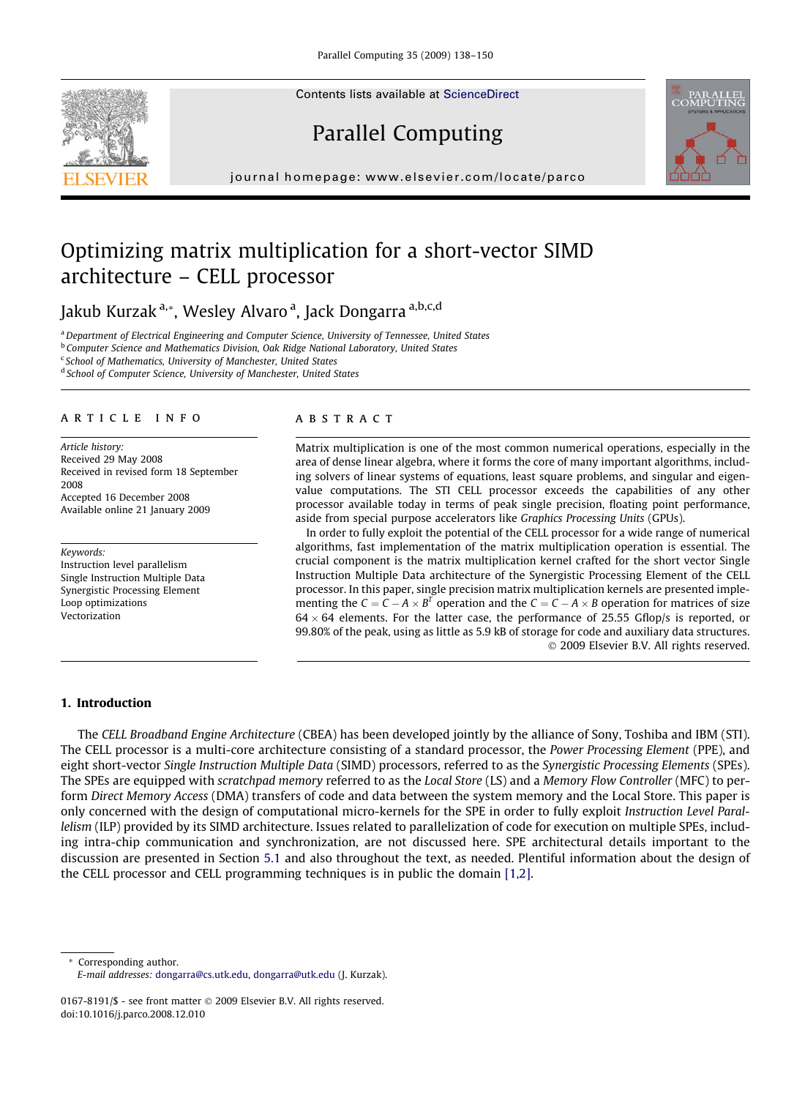Contents lists available at [ScienceDirect](http://www.sciencedirect.com/science/journal/01678191)







journal homepage: [www.elsevier.com/locate/parco](http://www.elsevier.com/locate/parco)

# Optimizing matrix multiplication for a short-vector SIMD architecture – CELL processor

Jakub Kurzak <sup>a,</sup>\*, Wesley Alvaro <sup>a</sup>, Jack Dongarra <sup>a,b,c,d</sup>

a Department of Electrical Engineering and Computer Science, University of Tennessee, United States

**b Computer Science and Mathematics Division, Oak Ridge National Laboratory, United States** 

<sup>c</sup> School of Mathematics, University of Manchester, United States

<sup>d</sup> School of Computer Science, University of Manchester, United States

## article info

Article history: Received 29 May 2008 Received in revised form 18 September 2008 Accepted 16 December 2008 Available online 21 January 2009

Keywords: Instruction level parallelism Single Instruction Multiple Data Synergistic Processing Element Loop optimizations Vectorization

## **ABSTRACT**

Matrix multiplication is one of the most common numerical operations, especially in the area of dense linear algebra, where it forms the core of many important algorithms, including solvers of linear systems of equations, least square problems, and singular and eigenvalue computations. The STI CELL processor exceeds the capabilities of any other processor available today in terms of peak single precision, floating point performance, aside from special purpose accelerators like Graphics Processing Units (GPUs).

In order to fully exploit the potential of the CELL processor for a wide range of numerical algorithms, fast implementation of the matrix multiplication operation is essential. The crucial component is the matrix multiplication kernel crafted for the short vector Single Instruction Multiple Data architecture of the Synergistic Processing Element of the CELL processor. In this paper, single precision matrix multiplication kernels are presented implementing the  $C = C - A \times B^T$  operation and the  $C = C - A \times B$  operation for matrices of size  $64 \times 64$  elements. For the latter case, the performance of 25.55 Gflop/s is reported, or 99.80% of the peak, using as little as 5.9 kB of storage for code and auxiliary data structures. © 2009 Elsevier B.V. All rights reserved.

## 1. Introduction

The CELL Broadband Engine Architecture (CBEA) has been developed jointly by the alliance of Sony, Toshiba and IBM (STI). The CELL processor is a multi-core architecture consisting of a standard processor, the Power Processing Element (PPE), and eight short-vector Single Instruction Multiple Data (SIMD) processors, referred to as the Synergistic Processing Elements (SPEs). The SPEs are equipped with scratchpad memory referred to as the Local Store (LS) and a Memory Flow Controller (MFC) to perform Direct Memory Access (DMA) transfers of code and data between the system memory and the Local Store. This paper is only concerned with the design of computational micro-kernels for the SPE in order to fully exploit Instruction Level Parallelism (ILP) provided by its SIMD architecture. Issues related to parallelization of code for execution on multiple SPEs, including intra-chip communication and synchronization, are not discussed here. SPE architectural details important to the discussion are presented in Section 5.1 and also throughout the text, as needed. Plentiful information about the design of the CELL processor and CELL programming techniques is in public the domain [\[1,2\].](#page-11-0)

Corresponding author. E-mail addresses: [dongarra@cs.utk.edu,](mailto:dongarra@cs.utk.edu) [dongarra@utk.edu](mailto:dongarra@utk.edu) (J. Kurzak).

<sup>0167-8191/\$ -</sup> see front matter © 2009 Elsevier B.V. All rights reserved. doi:10.1016/j.parco.2008.12.010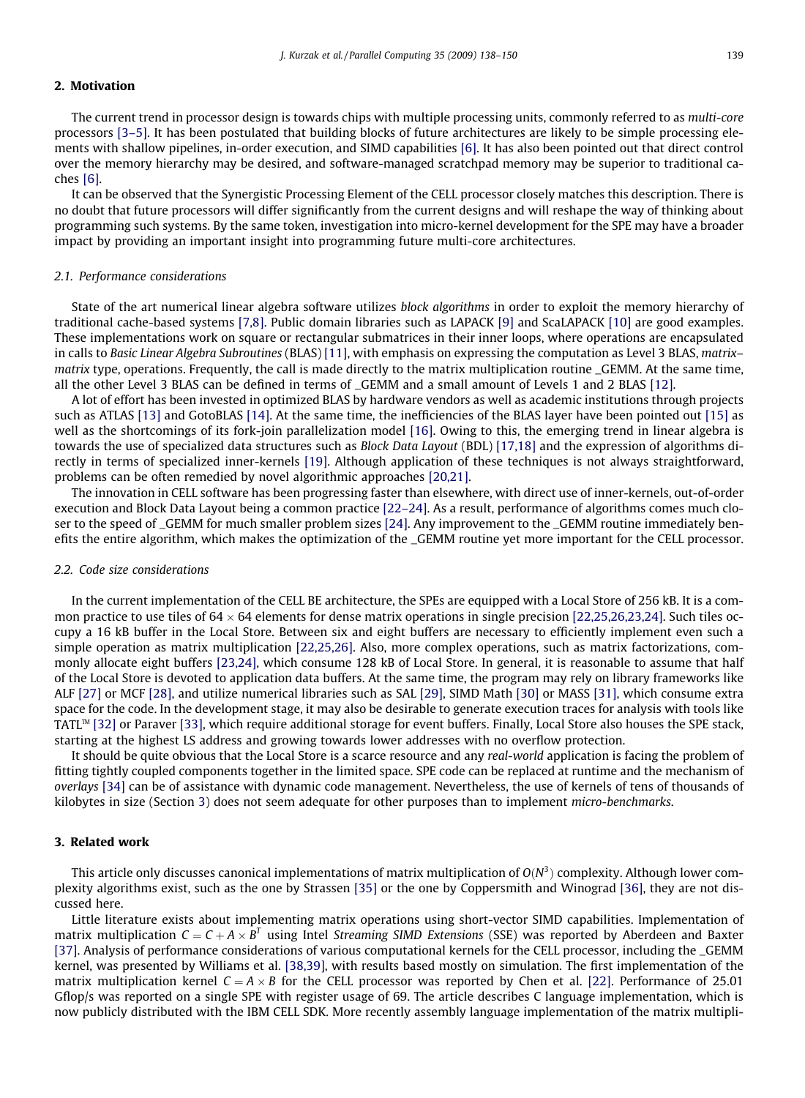# 2. Motivation

The current trend in processor design is towards chips with multiple processing units, commonly referred to as multi-core processors [\[3–5\].](#page-11-0) It has been postulated that building blocks of future architectures are likely to be simple processing elements with shallow pipelines, in-order execution, and SIMD capabilities [\[6\]](#page-11-0). It has also been pointed out that direct control over the memory hierarchy may be desired, and software-managed scratchpad memory may be superior to traditional caches [\[6\]](#page-11-0).

It can be observed that the Synergistic Processing Element of the CELL processor closely matches this description. There is no doubt that future processors will differ significantly from the current designs and will reshape the way of thinking about programming such systems. By the same token, investigation into micro-kernel development for the SPE may have a broader impact by providing an important insight into programming future multi-core architectures.

## 2.1. Performance considerations

State of the art numerical linear algebra software utilizes block algorithms in order to exploit the memory hierarchy of traditional cache-based systems [\[7,8\].](#page-11-0) Public domain libraries such as LAPACK [\[9\]](#page-11-0) and ScaLAPACK [\[10\]](#page-11-0) are good examples. These implementations work on square or rectangular submatrices in their inner loops, where operations are encapsulated in calls to Basic Linear Algebra Subroutines (BLAS) [\[11\],](#page-11-0) with emphasis on expressing the computation as Level 3 BLAS, matrix– matrix type, operations. Frequently, the call is made directly to the matrix multiplication routine \_GEMM. At the same time, all the other Level 3 BLAS can be defined in terms of \_GEMM and a small amount of Levels 1 and 2 BLAS [\[12\]](#page-11-0).

A lot of effort has been invested in optimized BLAS by hardware vendors as well as academic institutions through projects such as ATLAS [\[13\]](#page-11-0) and GotoBLAS [\[14\]](#page-11-0). At the same time, the inefficiencies of the BLAS layer have been pointed out [\[15\]](#page-11-0) as well as the shortcomings of its fork-join parallelization model [\[16\].](#page-11-0) Owing to this, the emerging trend in linear algebra is towards the use of specialized data structures such as Block Data Layout (BDL) [\[17,18\]](#page-11-0) and the expression of algorithms directly in terms of specialized inner-kernels [\[19\]](#page-11-0). Although application of these techniques is not always straightforward, problems can be often remedied by novel algorithmic approaches [\[20,21\].](#page-11-0)

The innovation in CELL software has been progressing faster than elsewhere, with direct use of inner-kernels, out-of-order execution and Block Data Layout being a common practice [\[22–24\].](#page-11-0) As a result, performance of algorithms comes much closer to the speed of \_GEMM for much smaller problem sizes [\[24\].](#page-11-0) Any improvement to the \_GEMM routine immediately benefits the entire algorithm, which makes the optimization of the \_GEMM routine yet more important for the CELL processor.

## 2.2. Code size considerations

In the current implementation of the CELL BE architecture, the SPEs are equipped with a Local Store of 256 kB. It is a common practice to use tiles of  $64 \times 64$  elements for dense matrix operations in single precision [\[22,25,26,23,24\]](#page-11-0). Such tiles occupy a 16 kB buffer in the Local Store. Between six and eight buffers are necessary to efficiently implement even such a simple operation as matrix multiplication [\[22,25,26\].](#page-11-0) Also, more complex operations, such as matrix factorizations, commonly allocate eight buffers [\[23,24\]](#page-11-0), which consume 128 kB of Local Store. In general, it is reasonable to assume that half of the Local Store is devoted to application data buffers. At the same time, the program may rely on library frameworks like ALF [\[27\]](#page-11-0) or MCF [\[28\]](#page-11-0), and utilize numerical libraries such as SAL [\[29\],](#page-11-0) SIMD Math [\[30\]](#page-11-0) or MASS [\[31\]](#page-11-0), which consume extra space for the code. In the development stage, it may also be desirable to generate execution traces for analysis with tools like TATLTM [\[32\]](#page-11-0) or Paraver [\[33\]](#page-11-0), which require additional storage for event buffers. Finally, Local Store also houses the SPE stack, starting at the highest LS address and growing towards lower addresses with no overflow protection.

It should be quite obvious that the Local Store is a scarce resource and any real-world application is facing the problem of fitting tightly coupled components together in the limited space. SPE code can be replaced at runtime and the mechanism of overlays [\[34\]](#page-11-0) can be of assistance with dynamic code management. Nevertheless, the use of kernels of tens of thousands of kilobytes in size (Section 3) does not seem adequate for other purposes than to implement micro-benchmarks.

# 3. Related work

This article only discusses canonical implementations of matrix multiplication of  $O(N^3)$  complexity. Although lower complexity algorithms exist, such as the one by Strassen [\[35\]](#page-11-0) or the one by Coppersmith and Winograd [\[36\]](#page-11-0), they are not discussed here.

Little literature exists about implementing matrix operations using short-vector SIMD capabilities. Implementation of matrix multiplication  $C = C + A \times B^{T}$  using Intel Streaming SIMD Extensions (SSE) was reported by Aberdeen and Baxter [\[37\]](#page-11-0). Analysis of performance considerations of various computational kernels for the CELL processor, including the \_GEMM kernel, was presented by Williams et al. [\[38,39\],](#page-11-0) with results based mostly on simulation. The first implementation of the matrix multiplication kernel  $C = A \times B$  for the CELL processor was reported by Chen et al. [\[22\]](#page-11-0). Performance of 25.01 Gflop/s was reported on a single SPE with register usage of 69. The article describes C language implementation, which is now publicly distributed with the IBM CELL SDK. More recently assembly language implementation of the matrix multipli-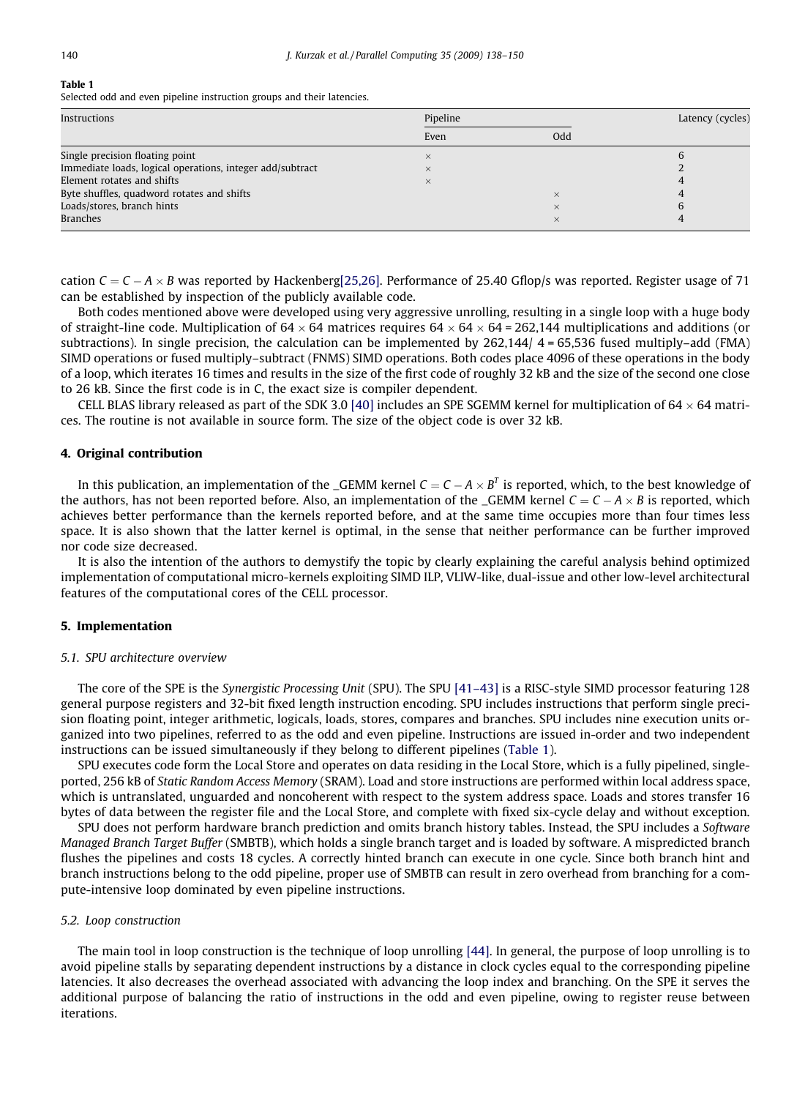Selected odd and even pipeline instruction groups and their latencies.

| Pipeline<br>Instructions                                  |          |          | Latency (cycles) |
|-----------------------------------------------------------|----------|----------|------------------|
|                                                           | Even     | Odd      |                  |
| Single precision floating point                           | $\times$ |          |                  |
| Immediate loads, logical operations, integer add/subtract | $\times$ |          |                  |
| Element rotates and shifts                                | $\times$ |          |                  |
| Byte shuffles, quadword rotates and shifts                |          | $\times$ |                  |
| Loads/stores, branch hints                                |          | $\times$ |                  |
| <b>Branches</b>                                           |          | $\times$ |                  |

cation C  $=$  C  $-A\times B$  was reported by Hackenber[g\[25,26\].](#page-11-0) Performance of 25.40 Gflop/s was reported. Register usage of 71 can be established by inspection of the publicly available code.

Both codes mentioned above were developed using very aggressive unrolling, resulting in a single loop with a huge body of straight-line code. Multiplication of  $64 \times 64$  matrices requires  $64 \times 64 \times 64 = 262,144$  multiplications and additions (or subtractions). In single precision, the calculation can be implemented by 262,144/ 4 = 65,536 fused multiply–add (FMA) SIMD operations or fused multiply–subtract (FNMS) SIMD operations. Both codes place 4096 of these operations in the body of a loop, which iterates 16 times and results in the size of the first code of roughly 32 kB and the size of the second one close to 26 kB. Since the first code is in C, the exact size is compiler dependent.

CELL BLAS library released as part of the SDK 3.0 [\[40\]](#page-11-0) includes an SPE SGEMM kernel for multiplication of 64  $\times$  64 matrices. The routine is not available in source form. The size of the object code is over 32 kB.

## 4. Original contribution

In this publication, an implementation of the \_GEMM kernel  $C=C-A\times B^T$  is reported, which, to the best knowledge of the authors, has not been reported before. Also, an implementation of the \_GEMM kernel  $C=C-A\times B$  is reported, which achieves better performance than the kernels reported before, and at the same time occupies more than four times less space. It is also shown that the latter kernel is optimal, in the sense that neither performance can be further improved nor code size decreased.

It is also the intention of the authors to demystify the topic by clearly explaining the careful analysis behind optimized implementation of computational micro-kernels exploiting SIMD ILP, VLIW-like, dual-issue and other low-level architectural features of the computational cores of the CELL processor.

# 5. Implementation

## 5.1. SPU architecture overview

The core of the SPE is the Synergistic Processing Unit (SPU). The SPU [\[41–43\]](#page-11-0) is a RISC-style SIMD processor featuring 128 general purpose registers and 32-bit fixed length instruction encoding. SPU includes instructions that perform single precision floating point, integer arithmetic, logicals, loads, stores, compares and branches. SPU includes nine execution units organized into two pipelines, referred to as the odd and even pipeline. Instructions are issued in-order and two independent instructions can be issued simultaneously if they belong to different pipelines (Table 1).

SPU executes code form the Local Store and operates on data residing in the Local Store, which is a fully pipelined, singleported, 256 kB of Static Random Access Memory (SRAM). Load and store instructions are performed within local address space, which is untranslated, unguarded and noncoherent with respect to the system address space. Loads and stores transfer 16 bytes of data between the register file and the Local Store, and complete with fixed six-cycle delay and without exception.

SPU does not perform hardware branch prediction and omits branch history tables. Instead, the SPU includes a Software Managed Branch Target Buffer (SMBTB), which holds a single branch target and is loaded by software. A mispredicted branch flushes the pipelines and costs 18 cycles. A correctly hinted branch can execute in one cycle. Since both branch hint and branch instructions belong to the odd pipeline, proper use of SMBTB can result in zero overhead from branching for a compute-intensive loop dominated by even pipeline instructions.

#### 5.2. Loop construction

The main tool in loop construction is the technique of loop unrolling [\[44\]](#page-12-0). In general, the purpose of loop unrolling is to avoid pipeline stalls by separating dependent instructions by a distance in clock cycles equal to the corresponding pipeline latencies. It also decreases the overhead associated with advancing the loop index and branching. On the SPE it serves the additional purpose of balancing the ratio of instructions in the odd and even pipeline, owing to register reuse between iterations.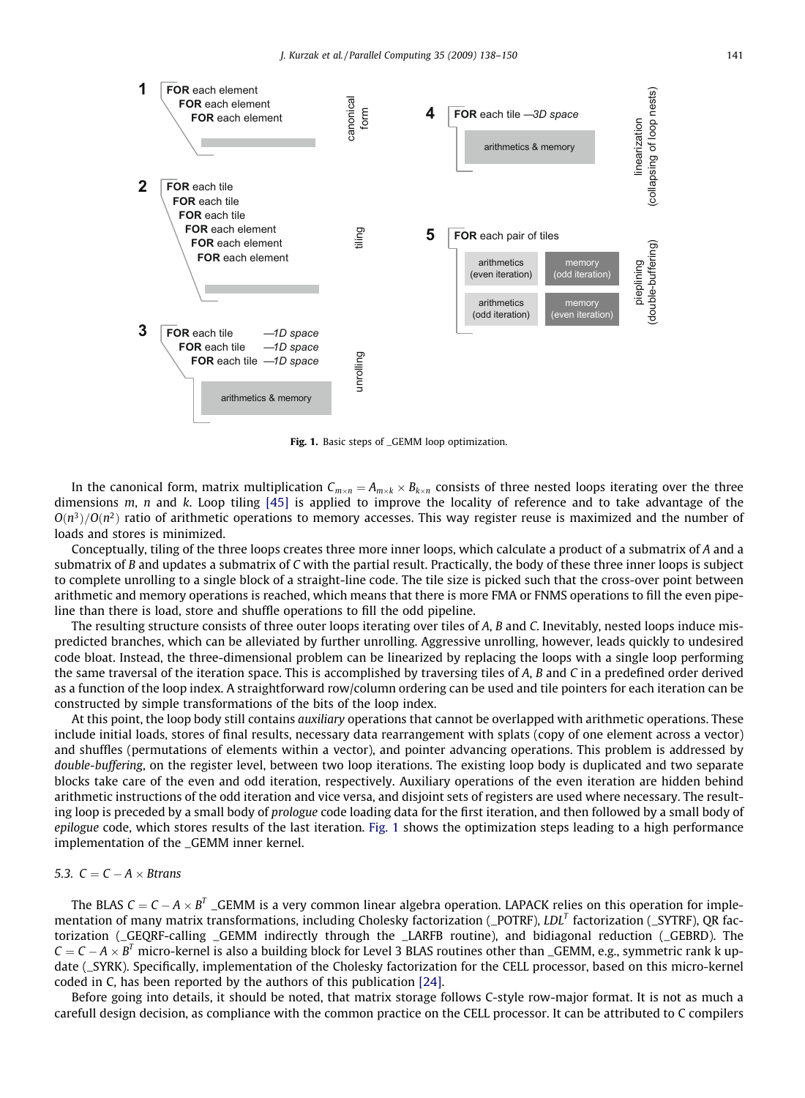

Fig. 1. Basic steps of \_GEMM loop optimization.

In the canonical form, matrix multiplication  $C_{m \times n} = A_{m \times k} \times B_{k \times n}$  consists of three nested loops iterating over the three dimensions m, n and k. Loop tiling [\[45\]](#page-12-0) is applied to improve the locality of reference and to take advantage of the  $O(n^3)/O(n^2)$  ratio of arithmetic operations to memory accesses. This way register reuse is maximized and the number of loads and stores is minimized.

Conceptually, tiling of the three loops creates three more inner loops, which calculate a product of a submatrix of A and a submatrix of  $B$  and updates a submatrix of  $C$  with the partial result. Practically, the body of these three inner loops is subject to complete unrolling to a single block of a straight-line code. The tile size is picked such that the cross-over point between arithmetic and memory operations is reached, which means that there is more FMA or FNMS operations to fill the even pipeline than there is load, store and shuffle operations to fill the odd pipeline.

The resulting structure consists of three outer loops iterating over tiles of A, B and C. Inevitably, nested loops induce mispredicted branches, which can be alleviated by further unrolling. Aggressive unrolling, however, leads quickly to undesired code bloat. Instead, the three-dimensional problem can be linearized by replacing the loops with a single loop performing the same traversal of the iteration space. This is accomplished by traversing tiles of A, B and C in a predefined order derived as a function of the loop index. A straightforward row/column ordering can be used and tile pointers for each iteration can be constructed by simple transformations of the bits of the loop index.

At this point, the loop body still contains *auxiliary* operations that cannot be overlapped with arithmetic operations. These include initial loads, stores of final results, necessary data rearrangement with splats (copy of one element across a vector) and shuffles (permutations of elements within a vector), and pointer advancing operations. This problem is addressed by double-buffering, on the register level, between two loop iterations. The existing loop body is duplicated and two separate blocks take care of the even and odd iteration, respectively. Auxiliary operations of the even iteration are hidden behind arithmetic instructions of the odd iteration and vice versa, and disjoint sets of registers are used where necessary. The resulting loop is preceded by a small body of prologue code loading data for the first iteration, and then followed by a small body of epilogue code, which stores results of the last iteration. Fig. 1 shows the optimization steps leading to a high performance implementation of the \_GEMM inner kernel.

## 5.3.  $C = C - A \times B$ trans

The BLAS C  $=$  C  $-A\times B^T$  \_GEMM is a very common linear algebra operation. LAPACK relies on this operation for implementation of many matrix transformations, including Cholesky factorization (\_POTRF),  $LDL<sup>T</sup>$  factorization (\_SYTRF), QR factorization (\_GEQRF-calling \_GEMM indirectly through the \_LARFB routine), and bidiagonal reduction (\_GEBRD). The  $C=C-A\times B^T$  micro-kernel is also a building block for Level 3 BLAS routines other than \_GEMM, e.g., symmetric rank k update (\_SYRK). Specifically, implementation of the Cholesky factorization for the CELL processor, based on this micro-kernel coded in C, has been reported by the authors of this publication [\[24\].](#page-11-0)

Before going into details, it should be noted, that matrix storage follows C-style row-major format. It is not as much a carefull design decision, as compliance with the common practice on the CELL processor. It can be attributed to C compilers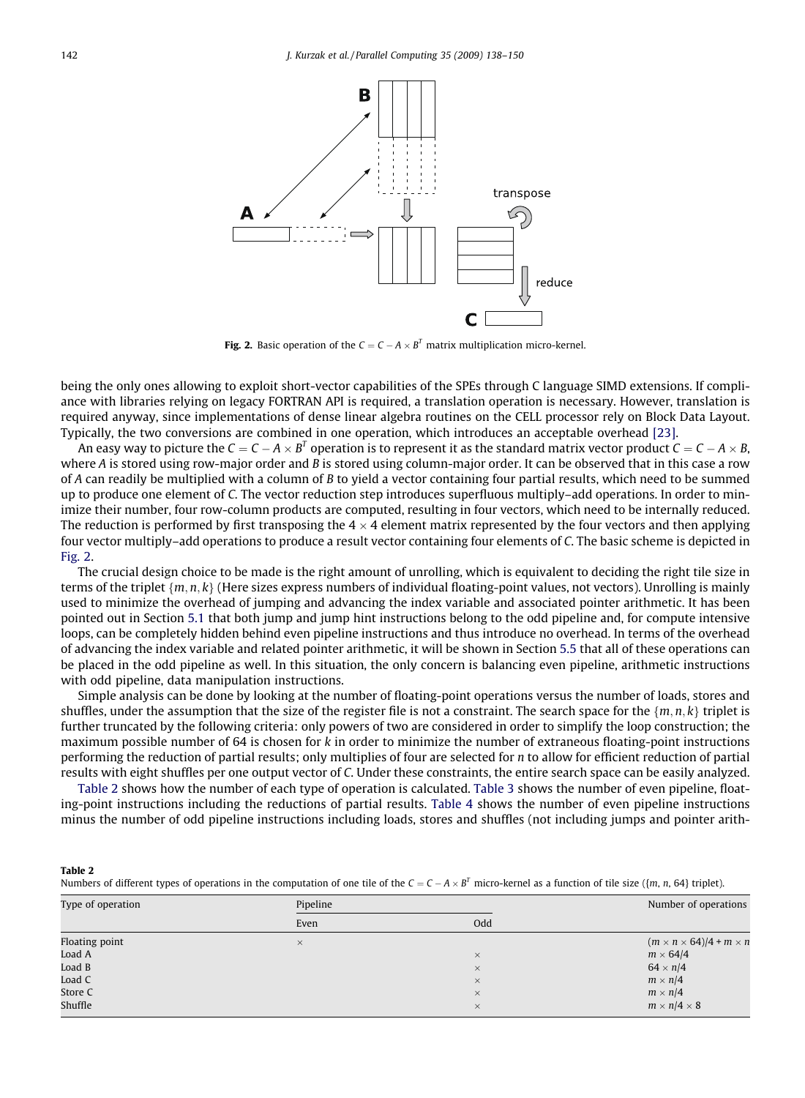

**Fig. 2.** Basic operation of the  $C = C - A \times B^T$  matrix multiplication micro-kernel.

being the only ones allowing to exploit short-vector capabilities of the SPEs through C language SIMD extensions. If compliance with libraries relying on legacy FORTRAN API is required, a translation operation is necessary. However, translation is required anyway, since implementations of dense linear algebra routines on the CELL processor rely on Block Data Layout. Typically, the two conversions are combined in one operation, which introduces an acceptable overhead [\[23\]](#page-11-0).

An easy way to picture the  $C=C-A\times B^T$  operation is to represent it as the standard matrix vector product  $C=C-A\times B$ , where A is stored using row-major order and B is stored using column-major order. It can be observed that in this case a row of A can readily be multiplied with a column of B to yield a vector containing four partial results, which need to be summed up to produce one element of C. The vector reduction step introduces superfluous multiply–add operations. In order to minimize their number, four row-column products are computed, resulting in four vectors, which need to be internally reduced. The reduction is performed by first transposing the  $4 \times 4$  element matrix represented by the four vectors and then applying four vector multiply–add operations to produce a result vector containing four elements of C. The basic scheme is depicted in Fig. 2.

The crucial design choice to be made is the right amount of unrolling, which is equivalent to deciding the right tile size in terms of the triplet  ${m, n, k}$  (Here sizes express numbers of individual floating-point values, not vectors). Unrolling is mainly used to minimize the overhead of jumping and advancing the index variable and associated pointer arithmetic. It has been pointed out in Section 5.1 that both jump and jump hint instructions belong to the odd pipeline and, for compute intensive loops, can be completely hidden behind even pipeline instructions and thus introduce no overhead. In terms of the overhead of advancing the index variable and related pointer arithmetic, it will be shown in Section 5.5 that all of these operations can be placed in the odd pipeline as well. In this situation, the only concern is balancing even pipeline, arithmetic instructions with odd pipeline, data manipulation instructions.

Simple analysis can be done by looking at the number of floating-point operations versus the number of loads, stores and shuffles, under the assumption that the size of the register file is not a constraint. The search space for the  $\{m, n, k\}$  triplet is further truncated by the following criteria: only powers of two are considered in order to simplify the loop construction; the maximum possible number of 64 is chosen for k in order to minimize the number of extraneous floating-point instructions performing the reduction of partial results; only multiplies of four are selected for n to allow for efficient reduction of partial results with eight shuffles per one output vector of C. Under these constraints, the entire search space can be easily analyzed.

Table 2 shows how the number of each type of operation is calculated. [Table 3](#page-5-0) shows the number of even pipeline, floating-point instructions including the reductions of partial results. [Table 4](#page-5-0) shows the number of even pipeline instructions minus the number of odd pipeline instructions including loads, stores and shuffles (not including jumps and pointer arith-

## Table 2

| Numbers of different types of operations in the computation of one tile of the $C = C - A \times B^T$ micro-kernel as a function of tile size ({m, n, 64} triplet). |  |
|---------------------------------------------------------------------------------------------------------------------------------------------------------------------|--|
|---------------------------------------------------------------------------------------------------------------------------------------------------------------------|--|

| Type of operation | Pipeline |          |                                         |
|-------------------|----------|----------|-----------------------------------------|
|                   | Even     | Odd      |                                         |
| Floating point    | $\times$ |          | $(m \times n \times 64)/4 + m \times n$ |
| Load A            |          | $\times$ | $m \times 64/4$                         |
| Load B            |          | $\times$ | $64 \times n/4$                         |
| Load C            |          | $\times$ | $m \times n/4$                          |
| Store C           |          | $\times$ | $m \times n/4$                          |
| Shuffle           |          | $\times$ | $m \times n/4 \times 8$                 |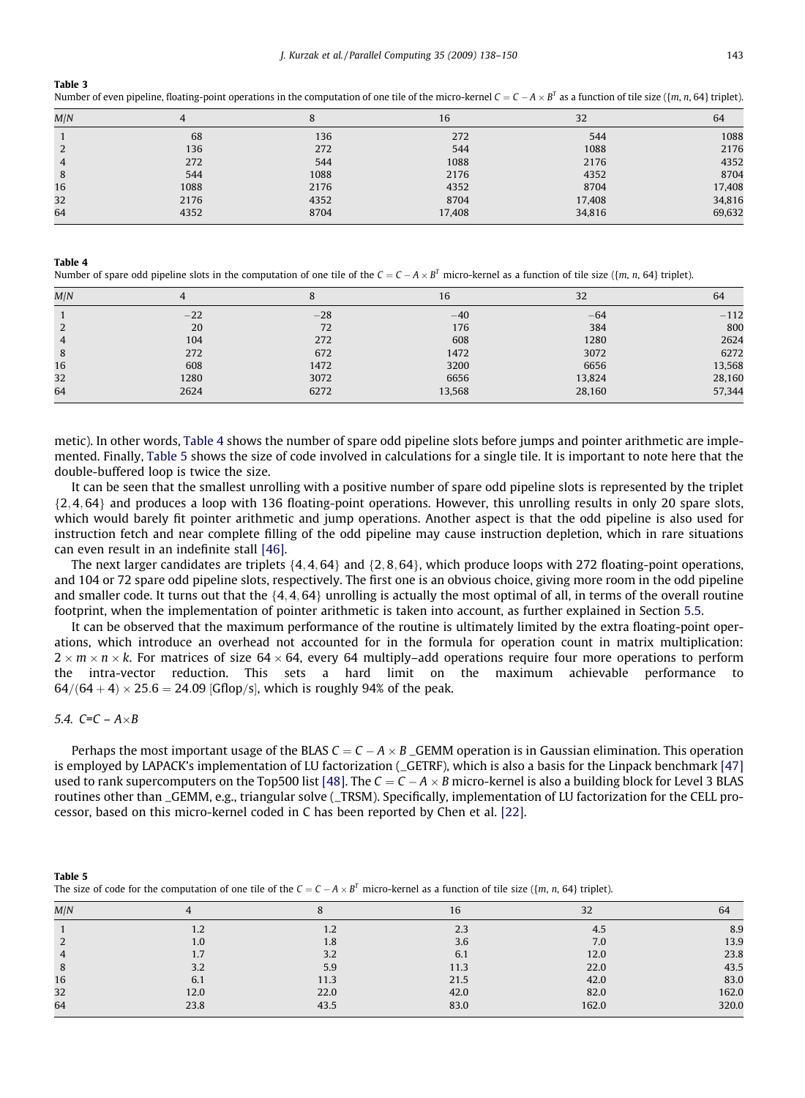<span id="page-5-0"></span>Number of even pipeline, floating-point operations in the computation of one tile of the micro-kernel  $C=C-A\times B^T$  as a function of tile size ({m, n, 64} triplet).

| M/N           |      |      | 16     | 32     | 64     |
|---------------|------|------|--------|--------|--------|
|               | 68   | 136  | 272    | 544    | 1088   |
| $\mathcal{L}$ | 136  | 272  | 544    | 1088   | 2176   |
| 4             | 272  | 544  | 1088   | 2176   | 4352   |
| 8             | 544  | 1088 | 2176   | 4352   | 8704   |
| 16            | 1088 | 2176 | 4352   | 8704   | 17,408 |
| 32            | 2176 | 4352 | 8704   | 17,408 | 34,816 |
| 64            | 4352 | 8704 | 17,408 | 34,816 | 69,632 |

#### Table 4

Number of spare odd pipeline slots in the computation of one tile of the C = C – A  $\times$  B<sup>T</sup> micro-kernel as a function of tile size ({m, n, 64} triplet).

| M/N |       |       | 16     | 32     | 64     |
|-----|-------|-------|--------|--------|--------|
|     | $-22$ | $-28$ | $-40$  | $-64$  | $-112$ |
|     | 20    | 72    | 176    | 384    | 800    |
|     | 104   | 272   | 608    | 1280   | 2624   |
| 8   | 272   | 672   | 1472   | 3072   | 6272   |
| 16  | 608   | 1472  | 3200   | 6656   | 13,568 |
| 32  | 1280  | 3072  | 6656   | 13,824 | 28,160 |
| 64  | 2624  | 6272  | 13,568 | 28,160 | 57,344 |

metic). In other words, Table 4 shows the number of spare odd pipeline slots before jumps and pointer arithmetic are implemented. Finally, Table 5 shows the size of code involved in calculations for a single tile. It is important to note here that the double-buffered loop is twice the size.

It can be seen that the smallest unrolling with a positive number of spare odd pipeline slots is represented by the triplet  $\{2, 4, 64\}$  and produces a loop with 136 floating-point operations. However, this unrolling results in only 20 spare slots, which would barely fit pointer arithmetic and jump operations. Another aspect is that the odd pipeline is also used for instruction fetch and near complete filling of the odd pipeline may cause instruction depletion, which in rare situations can even result in an indefinite stall [\[46\]](#page-12-0).

The next larger candidates are triplets  $\{4, 4, 64\}$  and  $\{2, 8, 64\}$ , which produce loops with 272 floating-point operations, and 104 or 72 spare odd pipeline slots, respectively. The first one is an obvious choice, giving more room in the odd pipeline and smaller code. It turns out that the  $\{4, 4, 64\}$  unrolling is actually the most optimal of all, in terms of the overall routine footprint, when the implementation of pointer arithmetic is taken into account, as further explained in Section 5.5.

It can be observed that the maximum performance of the routine is ultimately limited by the extra floating-point operations, which introduce an overhead not accounted for in the formula for operation count in matrix multiplication:  $2 \times m \times n \times k$ . For matrices of size 64  $\times$  64, every 64 multiply–add operations require four more operations to perform the intra-vector reduction. This sets a hard limit on the maximum achievable performance to  $64/(64+4) \times 25.6 = 24.09$  [Gflop/s], which is roughly 94% of the peak.

# 5.4.  $C=C - A \times B$

Perhaps the most important usage of the BLAS  $C=C-A\times B$  \_GEMM operation is in Gaussian elimination. This operation is employed by LAPACK's implementation of LU factorization (\_GETRF), which is also a basis for the Linpack benchmark [\[47\]](#page-12-0) used to rank supercomputers on the Top500 list [\[48\]](#page-12-0). The C  $=$  C  $-$  A  $\times$  B micro-kernel is also a building block for Level 3 BLAS routines other than \_GEMM, e.g., triangular solve (\_TRSM). Specifically, implementation of LU factorization for the CELL processor, based on this micro-kernel coded in C has been reported by Chen et al. [\[22\]](#page-11-0).

| The size of code for the computation of one the of the $c = c - h \wedge b$ -micro-actrici as a function of the size $(\{m, n, \sigma\})$ triplet). |      |      |      |       |       |  |
|-----------------------------------------------------------------------------------------------------------------------------------------------------|------|------|------|-------|-------|--|
| M/N                                                                                                                                                 |      |      | 16   |       | 64    |  |
|                                                                                                                                                     |      |      | 2.3  | 4.5   | 8.9   |  |
|                                                                                                                                                     | 1.U  | 1.0  | 3.6  | 7.0   | 13.9  |  |
|                                                                                                                                                     |      |      | 6.1  | 12.0  | 23.8  |  |
|                                                                                                                                                     |      | 5.9  | 11.3 | 22.0  | 43.5  |  |
| 16                                                                                                                                                  | 6.1  | 11.3 | 21.5 | 42.0  | 83.0  |  |
| 32                                                                                                                                                  | 12.0 | 22.0 | 42.0 | 82.0  | 162.0 |  |
| 64                                                                                                                                                  | 23.8 | 43.5 | 83.0 | 162.0 | 320.0 |  |

Table 5 The size of code for the computation of one tile of the  $C = C - A \times B^T$  micro-kernel as a function of tile size ({m, n, 64} triplet).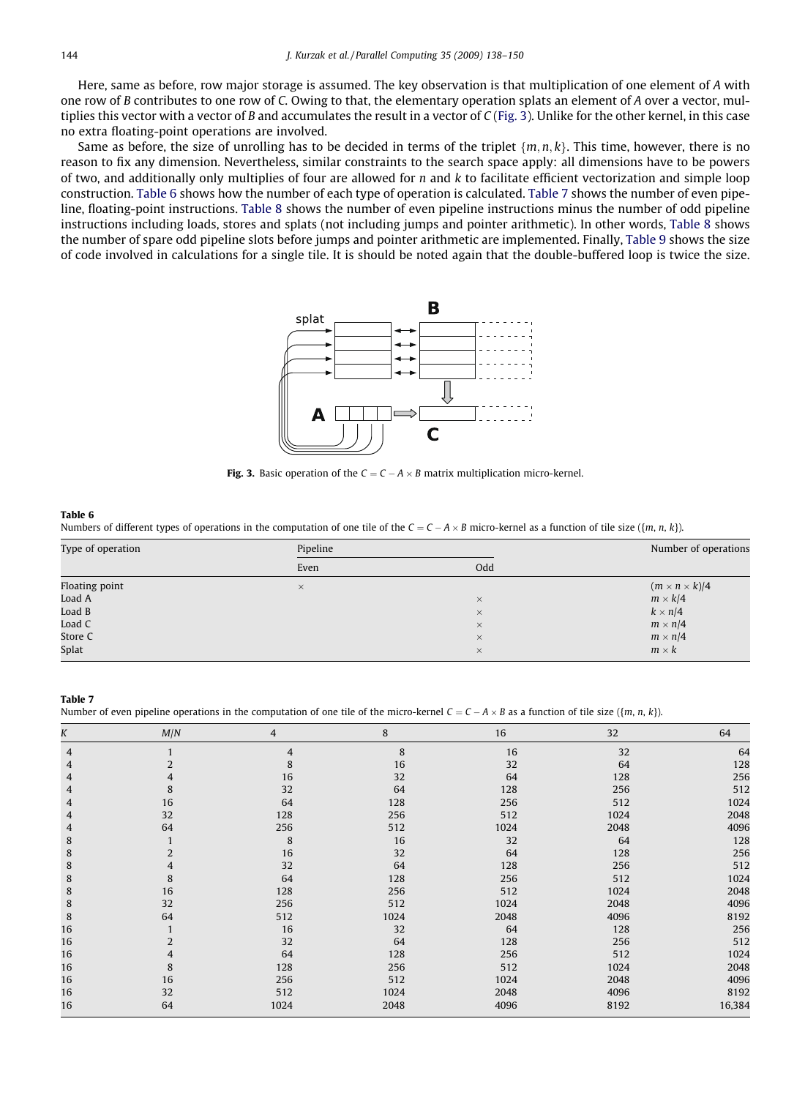Here, same as before, row major storage is assumed. The key observation is that multiplication of one element of A with one row of B contributes to one row of C. Owing to that, the elementary operation splats an element of A over a vector, multiplies this vector with a vector of B and accumulates the result in a vector of  $C$  (Fig. 3). Unlike for the other kernel, in this case no extra floating-point operations are involved.

Same as before, the size of unrolling has to be decided in terms of the triplet  $\{m, n, k\}$ . This time, however, there is no reason to fix any dimension. Nevertheless, similar constraints to the search space apply: all dimensions have to be powers of two, and additionally only multiplies of four are allowed for  $n$  and  $k$  to facilitate efficient vectorization and simple loop construction. Table 6 shows how the number of each type of operation is calculated. Table 7 shows the number of even pipeline, floating-point instructions. [Table 8](#page-7-0) shows the number of even pipeline instructions minus the number of odd pipeline instructions including loads, stores and splats (not including jumps and pointer arithmetic). In other words, [Table 8](#page-7-0) shows the number of spare odd pipeline slots before jumps and pointer arithmetic are implemented. Finally, [Table 9](#page-7-0) shows the size of code involved in calculations for a single tile. It is should be noted again that the double-buffered loop is twice the size.



**Fig. 3.** Basic operation of the  $C = C - A \times B$  matrix multiplication micro-kernel.

#### Table 6

Numbers of different types of operations in the computation of one tile of the  $C=C-A\times B$  micro-kernel as a function of tile size ({m, n, k}).

| Type of operation | Pipeline | Number of operations |                           |
|-------------------|----------|----------------------|---------------------------|
|                   | Even     | Odd                  |                           |
| Floating point    | $\times$ |                      | $(m \times n \times k)/4$ |
| Load A            |          | $\times$             | $m \times k/4$            |
| Load B            |          | $\times$             | $k \times n/4$            |
| Load C            |          | $\times$             | $m \times n/4$            |
| Store C           |          | $\times$             | $m \times n/4$            |
| Splat             |          | $\times$             | $m \times k$              |

## Table 7

Number of even pipeline operations in the computation of one tile of the micro-kernel  $C = C - A \times B$  as a function of tile size ({m, n, k}).

| K              | M/N            | 4    | 8    | 16   | 32   | 64     |
|----------------|----------------|------|------|------|------|--------|
| $\overline{4}$ |                | 4    | 8    | 16   | 32   | 64     |
| 4              |                | 8    | 16   | 32   | 64   | 128    |
| 4              | 4              | 16   | 32   | 64   | 128  | 256    |
| 4              | 8              | 32   | 64   | 128  | 256  | 512    |
| 4              | 16             | 64   | 128  | 256  | 512  | 1024   |
| 4              | 32             | 128  | 256  | 512  | 1024 | 2048   |
| 4              | 64             | 256  | 512  | 1024 | 2048 | 4096   |
| 8              |                | 8    | 16   | 32   | 64   | 128    |
| 8              |                | 16   | 32   | 64   | 128  | 256    |
| 8              | 4              | 32   | 64   | 128  | 256  | 512    |
| 8              | 8              | 64   | 128  | 256  | 512  | 1024   |
| 8              | 16             | 128  | 256  | 512  | 1024 | 2048   |
| 8              | 32             | 256  | 512  | 1024 | 2048 | 4096   |
| 8              | 64             | 512  | 1024 | 2048 | 4096 | 8192   |
| 16             |                | 16   | 32   | 64   | 128  | 256    |
| 16             | $\overline{2}$ | 32   | 64   | 128  | 256  | 512    |
| 16             | 4              | 64   | 128  | 256  | 512  | 1024   |
| 16             | 8              | 128  | 256  | 512  | 1024 | 2048   |
| 16             | 16             | 256  | 512  | 1024 | 2048 | 4096   |
| 16             | 32             | 512  | 1024 | 2048 | 4096 | 8192   |
| 16             | 64             | 1024 | 2048 | 4096 | 8192 | 16,384 |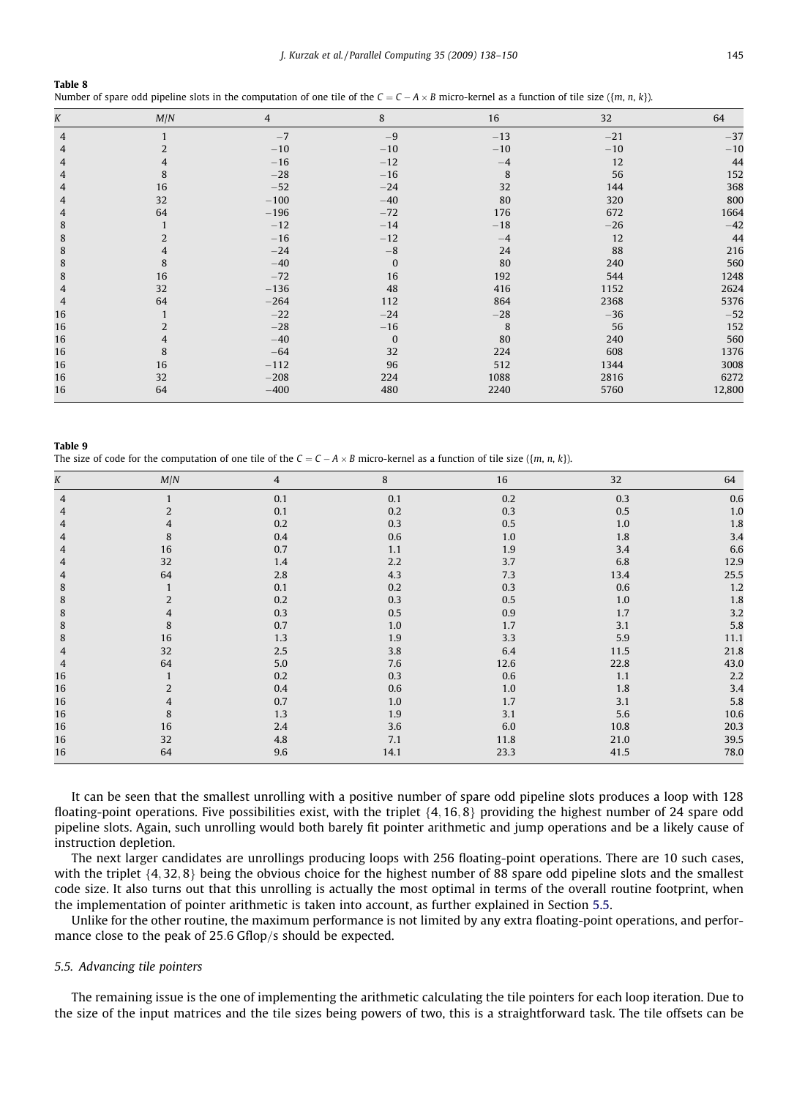#### <span id="page-7-0"></span>Number of spare odd pipeline slots in the computation of one tile of the  $C=C-A\times B$  micro-kernel as a function of tile size ({m, n, k}).

| K              | M/N            | $\overline{4}$ | 8        | 16    | 32    | 64     |
|----------------|----------------|----------------|----------|-------|-------|--------|
| 4              |                | $-7$           | $-9$     | $-13$ | $-21$ | $-37$  |
| 4              | $\overline{2}$ | $-10$          | $-10$    | $-10$ | $-10$ | $-10$  |
| 4              | 4              | $-16$          | $-12$    | $-4$  | 12    | 44     |
| 4              | 8              | $-28$          | $-16$    | 8     | 56    | 152    |
| 4              | 16             | $-52$          | $-24$    | 32    | 144   | 368    |
| 4              | 32             | $-100$         | $-40$    | 80    | 320   | 800    |
| 4              | 64             | $-196$         | $-72$    | 176   | 672   | 1664   |
| 8              |                | $-12$          | $-14$    | $-18$ | $-26$ | $-42$  |
| 8              | 2              | $-16$          | $-12$    | $-4$  | 12    | 44     |
| 8              | 4              | $-24$          | $-8$     | 24    | 88    | 216    |
| 8              | 8              | $-40$          | $\Omega$ | 80    | 240   | 560    |
| 8              | 16             | $-72$          | 16       | 192   | 544   | 1248   |
| $\overline{4}$ | 32             | $-136$         | 48       | 416   | 1152  | 2624   |
| $\overline{4}$ | 64             | $-264$         | 112      | 864   | 2368  | 5376   |
| 16             |                | $-22$          | $-24$    | $-28$ | $-36$ | $-52$  |
| 16             | $\overline{2}$ | $-28$          | $-16$    | 8     | 56    | 152    |
| 16             | 4              | $-40$          | $\Omega$ | 80    | 240   | 560    |
| 16             | 8              | $-64$          | 32       | 224   | 608   | 1376   |
| 16             | 16             | $-112$         | 96       | 512   | 1344  | 3008   |
| 16             | 32             | $-208$         | 224      | 1088  | 2816  | 6272   |
| 16             | 64             | $-400$         | 480      | 2240  | 5760  | 12,800 |

Table 9 The size of code for the computation of one tile of the  $C = C - A \times B$  micro-kernel as a function of tile size ({m, n, k}).

| K  | M/N | 4   | 8    | 16   | 32      | 64   |
|----|-----|-----|------|------|---------|------|
| 4  |     | 0.1 | 0.1  | 0.2  | 0.3     | 0.6  |
| 4  | 2   | 0.1 | 0.2  | 0.3  | 0.5     | 1.0  |
| 4  | 4   | 0.2 | 0.3  | 0.5  | 1.0     | 1.8  |
| 4  | 8   | 0.4 | 0.6  | 1.0  | 1.8     | 3.4  |
| 4  | 16  | 0.7 | 1.1  | 1.9  | 3.4     | 6.6  |
| 4  | 32  | 1.4 | 2.2  | 3.7  | 6.8     | 12.9 |
| 4  | 64  | 2.8 | 4.3  | 7.3  | 13.4    | 25.5 |
| 8  |     | 0.1 | 0.2  | 0.3  | 0.6     | 1.2  |
| 8  | 2   | 0.2 | 0.3  | 0.5  | $1.0\,$ | 1.8  |
| 8  | 4   | 0.3 | 0.5  | 0.9  | 1.7     | 3.2  |
| 8  | 8   | 0.7 | 1.0  | 1.7  | 3.1     | 5.8  |
| 8  | 16  | 1.3 | 1.9  | 3.3  | 5.9     | 11.1 |
| 4  | 32  | 2.5 | 3.8  | 6.4  | 11.5    | 21.8 |
| 4  | 64  | 5.0 | 7.6  | 12.6 | 22.8    | 43.0 |
| 16 |     | 0.2 | 0.3  | 0.6  | 1.1     | 2.2  |
| 16 | 2   | 0.4 | 0.6  | 1.0  | 1.8     | 3.4  |
| 16 | 4   | 0.7 | 1.0  | 1.7  | 3.1     | 5.8  |
| 16 | 8   | 1.3 | 1.9  | 3.1  | 5.6     | 10.6 |
| 16 | 16  | 2.4 | 3.6  | 6.0  | 10.8    | 20.3 |
| 16 | 32  | 4.8 | 7.1  | 11.8 | 21.0    | 39.5 |
| 16 | 64  | 9.6 | 14.1 | 23.3 | 41.5    | 78.0 |

It can be seen that the smallest unrolling with a positive number of spare odd pipeline slots produces a loop with 128 floating-point operations. Five possibilities exist, with the triplet  $\{4, 16, 8\}$  providing the highest number of 24 spare odd pipeline slots. Again, such unrolling would both barely fit pointer arithmetic and jump operations and be a likely cause of instruction depletion.

The next larger candidates are unrollings producing loops with 256 floating-point operations. There are 10 such cases, with the triplet  $\{4, 32, 8\}$  being the obvious choice for the highest number of 88 spare odd pipeline slots and the smallest code size. It also turns out that this unrolling is actually the most optimal in terms of the overall routine footprint, when the implementation of pointer arithmetic is taken into account, as further explained in Section 5.5.

Unlike for the other routine, the maximum performance is not limited by any extra floating-point operations, and performance close to the peak of  $25.6$  Gflop/s should be expected.

## 5.5. Advancing tile pointers

The remaining issue is the one of implementing the arithmetic calculating the tile pointers for each loop iteration. Due to the size of the input matrices and the tile sizes being powers of two, this is a straightforward task. The tile offsets can be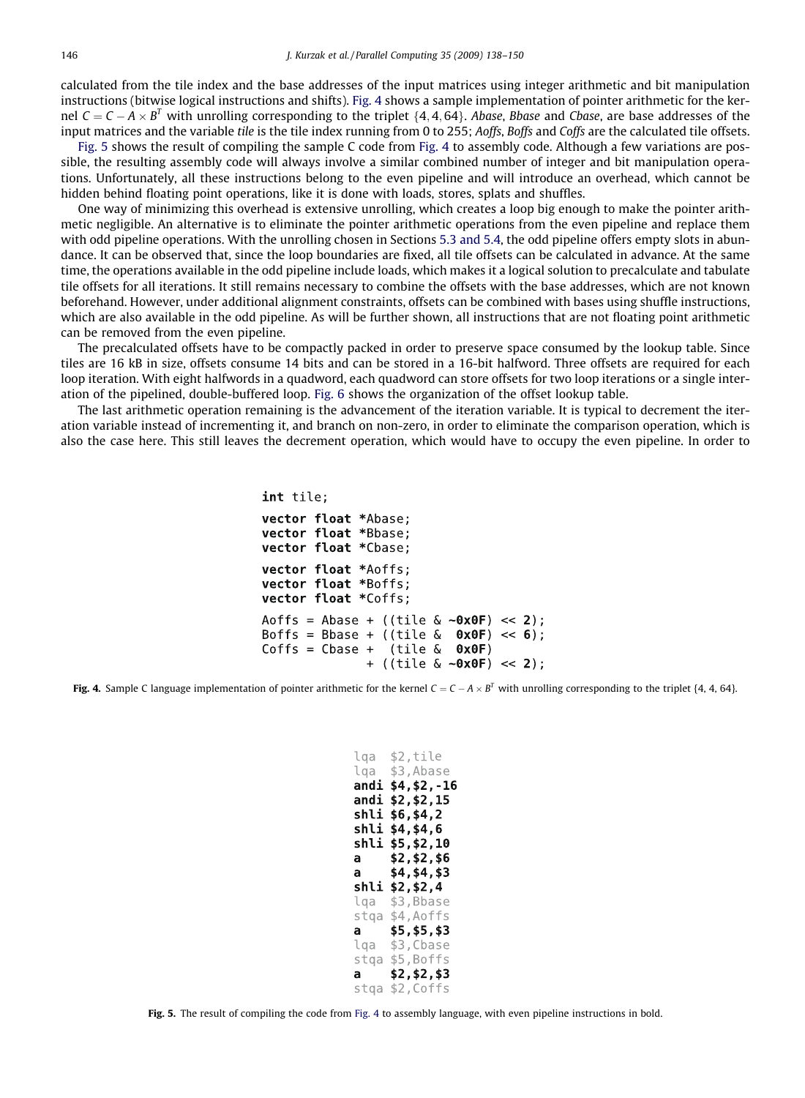calculated from the tile index and the base addresses of the input matrices using integer arithmetic and bit manipulation instructions (bitwise logical instructions and shifts). Fig. 4 shows a sample implementation of pointer arithmetic for the kernel  $C = C - A \times B^T$  with unrolling corresponding to the triplet {4, 4, 64}. Abase, Bbase and Cbase, are base addresses of the input matrices and the variable tile is the tile index running from 0 to 255; Aoffs, Boffs and Coffs are the calculated tile offsets.

Fig. 5 shows the result of compiling the sample C code from Fig. 4 to assembly code. Although a few variations are possible, the resulting assembly code will always involve a similar combined number of integer and bit manipulation operations. Unfortunately, all these instructions belong to the even pipeline and will introduce an overhead, which cannot be hidden behind floating point operations, like it is done with loads, stores, splats and shuffles.

One way of minimizing this overhead is extensive unrolling, which creates a loop big enough to make the pointer arithmetic negligible. An alternative is to eliminate the pointer arithmetic operations from the even pipeline and replace them with odd pipeline operations. With the unrolling chosen in Sections 5.3 and 5.4, the odd pipeline offers empty slots in abundance. It can be observed that, since the loop boundaries are fixed, all tile offsets can be calculated in advance. At the same time, the operations available in the odd pipeline include loads, which makes it a logical solution to precalculate and tabulate tile offsets for all iterations. It still remains necessary to combine the offsets with the base addresses, which are not known beforehand. However, under additional alignment constraints, offsets can be combined with bases using shuffle instructions, which are also available in the odd pipeline. As will be further shown, all instructions that are not floating point arithmetic can be removed from the even pipeline.

The precalculated offsets have to be compactly packed in order to preserve space consumed by the lookup table. Since tiles are 16 kB in size, offsets consume 14 bits and can be stored in a 16-bit halfword. Three offsets are required for each loop iteration. With eight halfwords in a quadword, each quadword can store offsets for two loop iterations or a single interation of the pipelined, double-buffered loop. [Fig. 6](#page-9-0) shows the organization of the offset lookup table.

The last arithmetic operation remaining is the advancement of the iteration variable. It is typical to decrement the iteration variable instead of incrementing it, and branch on non-zero, in order to eliminate the comparison operation, which is also the case here. This still leaves the decrement operation, which would have to occupy the even pipeline. In order to

> int tile: vector float \*Abase; vector float \*Bbase; vector float \*Cbase; vector float \*Aoffs; vector float \*Boffs; vector float \*Coffs; Aoffs = Abase + ((tile  $\&$  ~0x0F) << 2); Boffs = Bbase + ((tile  $\&$  0x0F) << 6); Coffs = Cbase + (tile  $\&$  0x0F) + ((tile  $\&$  ~0x0F) << 2);

**Fig. 4.** Sample C language implementation of pointer arithmetic for the kernel C = C – A  $\times$  B<sup>T</sup> with unrolling corresponding to the triplet {4, 4, 64}.

```
lga $2,tile
lga $3, Abase
andi $4, $2, -16
andi $2, $2, 15
shli $6,$4,2
shli $4,$4,6
shli $5,$2,10
     $2, $2, $6
a
     $4, $4, $3
a
shli $2,$2,4
lqa $3, Bbase
stqa $4, Aoffs
     $5, $5, $3a
lqa
     $3, Cbase
stqa $5, Boffs
     $2, $2, $3a.
stga $2, Coffs
```
Fig. 5. The result of compiling the code from Fig. 4 to assembly language, with even pipeline instructions in bold.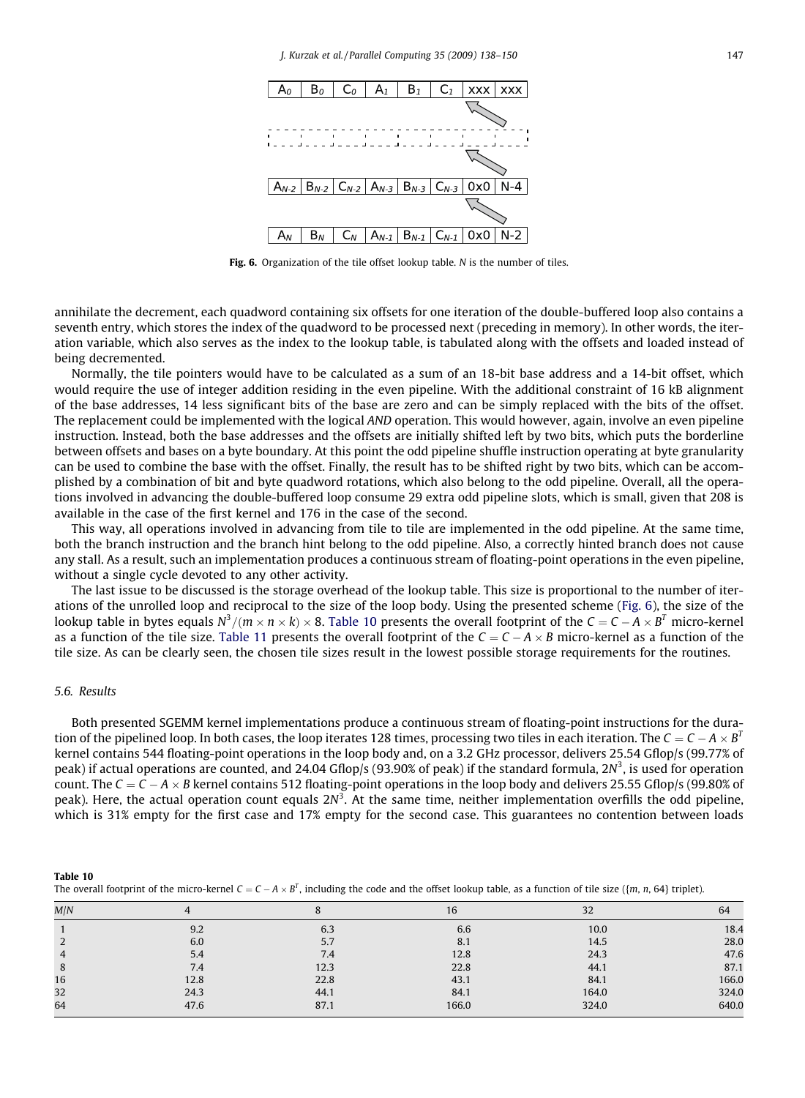<span id="page-9-0"></span>

Fig. 6. Organization of the tile offset lookup table. N is the number of tiles.

annihilate the decrement, each quadword containing six offsets for one iteration of the double-buffered loop also contains a seventh entry, which stores the index of the quadword to be processed next (preceding in memory). In other words, the iteration variable, which also serves as the index to the lookup table, is tabulated along with the offsets and loaded instead of being decremented.

Normally, the tile pointers would have to be calculated as a sum of an 18-bit base address and a 14-bit offset, which would require the use of integer addition residing in the even pipeline. With the additional constraint of 16 kB alignment of the base addresses, 14 less significant bits of the base are zero and can be simply replaced with the bits of the offset. The replacement could be implemented with the logical AND operation. This would however, again, involve an even pipeline instruction. Instead, both the base addresses and the offsets are initially shifted left by two bits, which puts the borderline between offsets and bases on a byte boundary. At this point the odd pipeline shuffle instruction operating at byte granularity can be used to combine the base with the offset. Finally, the result has to be shifted right by two bits, which can be accomplished by a combination of bit and byte quadword rotations, which also belong to the odd pipeline. Overall, all the operations involved in advancing the double-buffered loop consume 29 extra odd pipeline slots, which is small, given that 208 is available in the case of the first kernel and 176 in the case of the second.

This way, all operations involved in advancing from tile to tile are implemented in the odd pipeline. At the same time, both the branch instruction and the branch hint belong to the odd pipeline. Also, a correctly hinted branch does not cause any stall. As a result, such an implementation produces a continuous stream of floating-point operations in the even pipeline, without a single cycle devoted to any other activity.

The last issue to be discussed is the storage overhead of the lookup table. This size is proportional to the number of iterations of the unrolled loop and reciprocal to the size of the loop body. Using the presented scheme (Fig. 6), the size of the lookup table in bytes equals  $N^3/(m\times n\times k)\times 8.$  Table 10 presents the overall footprint of the  $C=C-A\times B^T$  micro-kernel as a function of the tile size. [Table 11](#page-10-0) presents the overall footprint of the C = C – A  $\times$  B micro-kernel as a function of the tile size. As can be clearly seen, the chosen tile sizes result in the lowest possible storage requirements for the routines.

## 5.6. Results

Both presented SGEMM kernel implementations produce a continuous stream of floating-point instructions for the duration of the pipelined loop. In both cases, the loop iterates 128 times, processing two tiles in each iteration. The  $C=C-A\times B^1$ kernel contains 544 floating-point operations in the loop body and, on a 3.2 GHz processor, delivers 25.54 Gflop/s (99.77% of peak) if actual operations are counted, and 24.04 Gflop/s (93.90% of peak) if the standard formula, 2N<sup>3</sup>, is used for operation count. The C  $=$  C  $-$  A  $\times$  B kernel contains 512 floating-point operations in the loop body and delivers 25.55 Gflop/s (99.80% of peak). Here, the actual operation count equals  $2N^3$ . At the same time, neither implementation overfills the odd pipeline, which is 31% empty for the first case and 17% empty for the second case. This guarantees no contention between loads

| Table 10                                                                                                                                                            |  |
|---------------------------------------------------------------------------------------------------------------------------------------------------------------------|--|
| The overall footprint of the micro-kernel $C = C - A \times B^T$ , including the code and the offset lookup table, as a function of tile size ({m, n, 64} triplet). |  |

| M/N |      |      | 16    | 32    | 64    |
|-----|------|------|-------|-------|-------|
|     | 9.2  | 6.3  | 6.6   | 10.0  | 18.4  |
|     | 6.0  | 5.7  | 8.1   | 14.5  | 28.0  |
|     | 5.4  | 7.4  | 12.8  | 24.3  | 47.6  |
| 8   | 7.4  | 12.3 | 22.8  | 44.1  | 87.1  |
| 16  | 12.8 | 22.8 | 43.1  | 84.1  | 166.0 |
| 32  | 24.3 | 44.1 | 84.1  | 164.0 | 324.0 |
| 64  | 47.6 | 87.1 | 166.0 | 324.0 | 640.0 |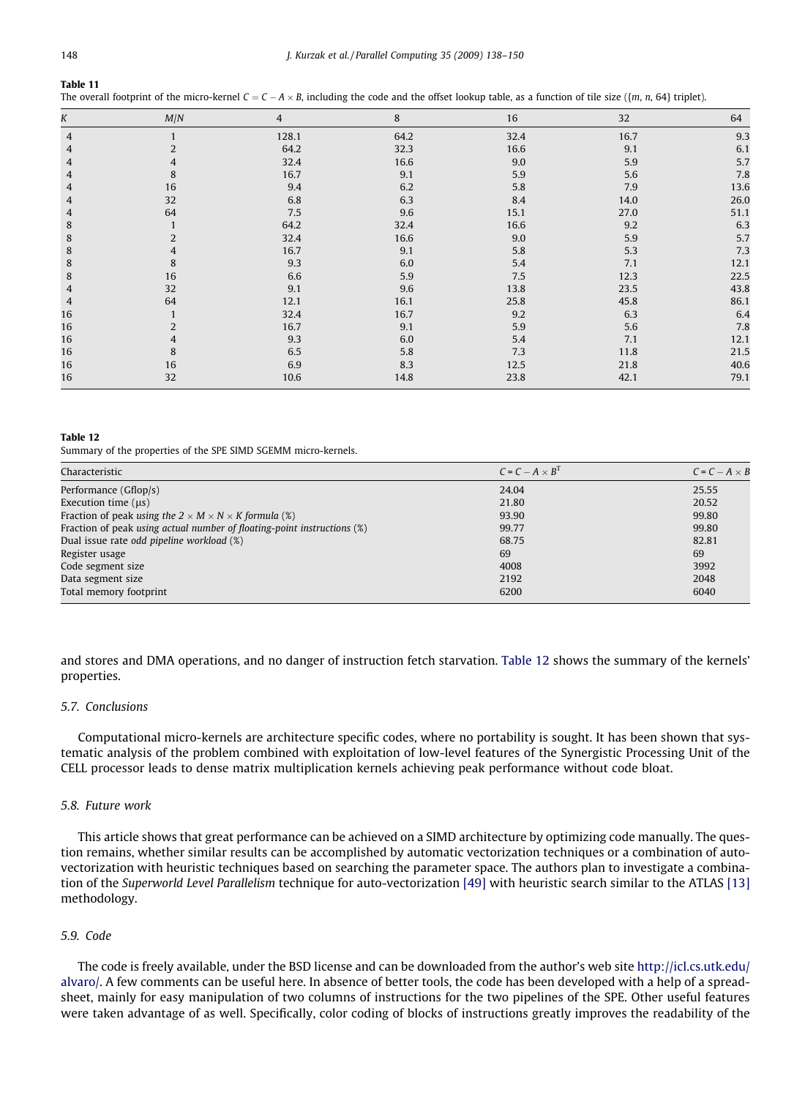<span id="page-10-0"></span>The overall footprint of the micro-kernel  $C=C-A\times B$ , including the code and the offset lookup table, as a function of tile size ({m, n, 64} triplet).

| K  | M/N | 4     | 8    | 16   | 32   | 64   |
|----|-----|-------|------|------|------|------|
| 4  |     | 128.1 | 64.2 | 32.4 | 16.7 | 9.3  |
| 4  |     | 64.2  | 32.3 | 16.6 | 9.1  | 6.1  |
| 4  | 4   | 32.4  | 16.6 | 9.0  | 5.9  | 5.7  |
| 4  | 8   | 16.7  | 9.1  | 5.9  | 5.6  | 7.8  |
| 4  | 16  | 9.4   | 6.2  | 5.8  | 7.9  | 13.6 |
| 4  | 32  | 6.8   | 6.3  | 8.4  | 14.0 | 26.0 |
| 4  | 64  | 7.5   | 9.6  | 15.1 | 27.0 | 51.1 |
| 8  |     | 64.2  | 32.4 | 16.6 | 9.2  | 6.3  |
| 8  |     | 32.4  | 16.6 | 9.0  | 5.9  | 5.7  |
| 8  | 4   | 16.7  | 9.1  | 5.8  | 5.3  | 7.3  |
| 8  | 8   | 9.3   | 6.0  | 5.4  | 7.1  | 12.1 |
| 8  | 16  | 6.6   | 5.9  | 7.5  | 12.3 | 22.5 |
| 4  | 32  | 9.1   | 9.6  | 13.8 | 23.5 | 43.8 |
| 4  | 64  | 12.1  | 16.1 | 25.8 | 45.8 | 86.1 |
| 16 |     | 32.4  | 16.7 | 9.2  | 6.3  | 6.4  |
| 16 |     | 16.7  | 9.1  | 5.9  | 5.6  | 7.8  |
| 16 | 4   | 9.3   | 6.0  | 5.4  | 7.1  | 12.1 |
| 16 | 8   | 6.5   | 5.8  | 7.3  | 11.8 | 21.5 |
| 16 | 16  | 6.9   | 8.3  | 12.5 | 21.8 | 40.6 |
| 16 | 32  | 10.6  | 14.8 | 23.8 | 42.1 | 79.1 |

#### Table 12

Summary of the properties of the SPE SIMD SGEMM micro-kernels.

| Characteristic                                                          | $C = C - A \times B^{T}$ | $C = C - A \times B$ |
|-------------------------------------------------------------------------|--------------------------|----------------------|
| Performance (Gflop/s)                                                   | 24.04                    | 25.55                |
| Execution time $( \mu s )$                                              | 21.80                    | 20.52                |
| Fraction of peak using the $2 \times M \times N \times K$ formula (%)   | 93.90                    | 99.80                |
| Fraction of peak using actual number of floating-point instructions (%) | 99.77                    | 99.80                |
| Dual issue rate odd pipeline workload (%)                               | 68.75                    | 82.81                |
| Register usage                                                          | 69                       | 69                   |
| Code segment size                                                       | 4008                     | 3992                 |
| Data segment size                                                       | 2192                     | 2048                 |
| Total memory footprint                                                  | 6200                     | 6040                 |

and stores and DMA operations, and no danger of instruction fetch starvation. Table 12 shows the summary of the kernels' properties.

# 5.7. Conclusions

Computational micro-kernels are architecture specific codes, where no portability is sought. It has been shown that systematic analysis of the problem combined with exploitation of low-level features of the Synergistic Processing Unit of the CELL processor leads to dense matrix multiplication kernels achieving peak performance without code bloat.

# 5.8. Future work

This article shows that great performance can be achieved on a SIMD architecture by optimizing code manually. The question remains, whether similar results can be accomplished by automatic vectorization techniques or a combination of autovectorization with heuristic techniques based on searching the parameter space. The authors plan to investigate a combination of the Superworld Level Parallelism technique for auto-vectorization [\[49\]](#page-12-0) with heuristic search similar to the ATLAS [\[13\]](#page-11-0) methodology.

# 5.9. Code

The code is freely available, under the BSD license and can be downloaded from the author's web site [http://icl.cs.utk.edu/](http://icl.cs.utk.edu/alvaro/) [alvaro/](http://icl.cs.utk.edu/alvaro/). A few comments can be useful here. In absence of better tools, the code has been developed with a help of a spreadsheet, mainly for easy manipulation of two columns of instructions for the two pipelines of the SPE. Other useful features were taken advantage of as well. Specifically, color coding of blocks of instructions greatly improves the readability of the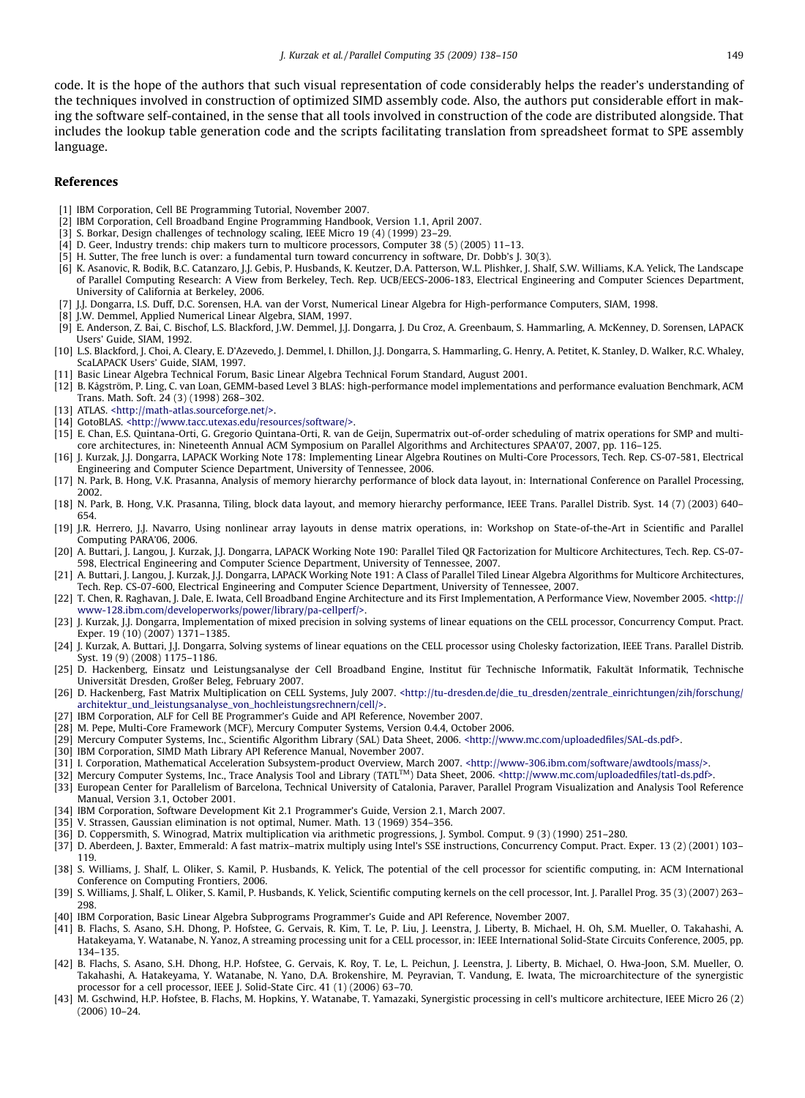<span id="page-11-0"></span>code. It is the hope of the authors that such visual representation of code considerably helps the reader's understanding of the techniques involved in construction of optimized SIMD assembly code. Also, the authors put considerable effort in making the software self-contained, in the sense that all tools involved in construction of the code are distributed alongside. That includes the lookup table generation code and the scripts facilitating translation from spreadsheet format to SPE assembly language.

#### References

- [1] IBM Corporation, Cell BE Programming Tutorial, November 2007.
- [2] IBM Corporation, Cell Broadband Engine Programming Handbook, Version 1.1, April 2007.
- S. Borkar, Design challenges of technology scaling, IEEE Micro 19 (4) (1999) 23-29.
- [4] D. Geer, Industry trends: chip makers turn to multicore processors, Computer 38 (5) (2005) 11–13.
- [5] H. Sutter, The free lunch is over: a fundamental turn toward concurrency in software, Dr. Dobb's J. 30(3). [6] K. Asanovic, R. Bodik, B.C. Catanzaro, J.J. Gebis, P. Husbands, K. Keutzer, D.A. Patterson, W.L. Plishker, J. Shalf, S.W. Williams, K.A. Yelick, The Landscape of Parallel Computing Research: A View from Berkeley, Tech. Rep. UCB/EECS-2006-183, Electrical Engineering and Computer Sciences Department,
- University of California at Berkeley, 2006. [7] J.J. Dongarra, I.S. Duff, D.C. Sorensen, H.A. van der Vorst, Numerical Linear Algebra for High-performance Computers, SIAM, 1998.
- [8] J.W. Demmel, Applied Numerical Linear Algebra, SIAM, 1997.
- [9] E. Anderson, Z. Bai, C. Bischof, L.S. Blackford, J.W. Demmel, J.J. Dongarra, J. Du Croz, A. Greenbaum, S. Hammarling, A. McKenney, D. Sorensen, LAPACK Users' Guide, SIAM, 1992.
- [10] L.S. Blackford, J. Choi, A. Cleary, E. D'Azevedo, J. Demmel, I. Dhillon, J.J. Dongarra, S. Hammarling, G. Henry, A. Petitet, K. Stanley, D. Walker, R.C. Whaley, ScaLAPACK Users' Guide, SIAM, 1997.
- [11] Basic Linear Algebra Technical Forum, Basic Linear Algebra Technical Forum Standard, August 2001.
- [12] B. Kågström, P. Ling, C. van Loan, GEMM-based Level 3 BLAS: high-performance model implementations and performance evaluation Benchmark, ACM Trans. Math. Soft. 24 (3) (1998) 268–302.
- [13] ATLAS. [<http://math-atlas.sourceforge.net/>](http://math-atlas.sourceforge.net/).
- [14] GotoBLAS. [<http://www.tacc.utexas.edu/resources/software/>](http://www.tacc.utexas.edu/resources/software/).
- [15] E. Chan, E.S. Quintana-Orti, G. Gregorio Quintana-Orti, R. van de Geijn, Supermatrix out-of-order scheduling of matrix operations for SMP and multicore architectures, in: Nineteenth Annual ACM Symposium on Parallel Algorithms and Architectures SPAA'07, 2007, pp. 116–125.
- [16] J. Kurzak, J.J. Dongarra, LAPACK Working Note 178: Implementing Linear Algebra Routines on Multi-Core Processors, Tech. Rep. CS-07-581, Electrical Engineering and Computer Science Department, University of Tennessee, 2006.
- [17] N. Park, B. Hong, V.K. Prasanna, Analysis of memory hierarchy performance of block data layout, in: International Conference on Parallel Processing, 2002.
- [18] N. Park, B. Hong, V.K. Prasanna, Tiling, block data layout, and memory hierarchy performance, IEEE Trans. Parallel Distrib. Syst. 14 (7) (2003) 640– 654.
- [19] J.R. Herrero, J.J. Navarro, Using nonlinear array layouts in dense matrix operations, in: Workshop on State-of-the-Art in Scientific and Parallel Computing PARA'06, 2006.
- [20] A. Buttari, J. Langou, J. Kurzak, J.J. Dongarra, LAPACK Working Note 190: Parallel Tiled QR Factorization for Multicore Architectures, Tech. Rep. CS-07-598, Electrical Engineering and Computer Science Department, University of Tennessee, 2007.
- [21] A. Buttari, J. Langou, J. Kurzak, J.J. Dongarra, LAPACK Working Note 191: A Class of Parallel Tiled Linear Algebra Algorithms for Multicore Architectures, Tech. Rep. CS-07-600, Electrical Engineering and Computer Science Department, University of Tennessee, 2007.
- [22] T. Chen, R. Raghavan, J. Dale, E. Iwata, Cell Broadband Engine Architecture and its First Implementation, A Performance View, November 2005. [<http://](http://www-128.ibm.com/developerworks/power/library/pa-cellperf/) [www-128.ibm.com/developerworks/power/library/pa-cellperf/>.](http://www-128.ibm.com/developerworks/power/library/pa-cellperf/)
- [23] J. Kurzak, J.J. Dongarra, Implementation of mixed precision in solving systems of linear equations on the CELL processor, Concurrency Comput. Pract. Exper. 19 (10) (2007) 1371–1385.
- [24] J. Kurzak, A. Buttari, J.J. Dongarra, Solving systems of linear equations on the CELL processor using Cholesky factorization, IEEE Trans. Parallel Distrib. Syst. 19 (9) (2008) 1175–1186.
- [25] D. Hackenberg, Einsatz und Leistungsanalyse der Cell Broadband Engine, Institut für Technische Informatik, Fakultät Informatik, Technische Universität Dresden, Großer Beleg, February 2007.
- [26] D. Hackenberg, Fast Matrix Multiplication on CELL Systems, July 2007. [<http://tu-dresden.de/die\\_tu\\_dresden/zentrale\\_einrichtungen/zih/forschung/](http://tu-dresden.de/die_tu_dresden/zentrale_einrichtungen/zih/forschung/architektur_und_leistungsanalyse_von_hochleistungsrechnern/cell/) [architektur\\_und\\_leistungsanalyse\\_von\\_hochleistungsrechnern/cell/>.](http://tu-dresden.de/die_tu_dresden/zentrale_einrichtungen/zih/forschung/architektur_und_leistungsanalyse_von_hochleistungsrechnern/cell/)
- [27] IBM Corporation, ALF for Cell BE Programmer's Guide and API Reference, November 2007.
- [28] M. Pepe, Multi-Core Framework (MCF), Mercury Computer Systems, Version 0.4.4, October 2006.
- [29] Mercury Computer Systems, Inc., Scientific Algorithm Library (SAL) Data Sheet, 2006. [<http://www.mc.com/uploadedfiles/SAL-ds.pdf>](http://www.mc.com/uploadedfiles/SAL-ds.pdf).
- [30] IBM Corporation, SIMD Math Library API Reference Manual, November 2007.
- 
- [31] I. Corporation, Mathematical Acceleration Subsystem-product Overview, March 2007. [<http://www-306.ibm.com/software/awdtools/mass/>](http://www-306.ibm.com/software/awdtools/mass/).<br>[32] Mercury Computer Systems, Inc., Trace Analysis Tool and Library (TATL™) Data She
- [33] European Center for Parallelism of Barcelona, Technical University of Catalonia, Paraver, Parallel Program Visualization and Analysis Tool Reference Manual, Version 3.1, October 2001.
- [34] IBM Corporation, Software Development Kit 2.1 Programmer's Guide, Version 2.1, March 2007.
- [35] V. Strassen, Gaussian elimination is not optimal, Numer. Math. 13 (1969) 354–356.
- [36] D. Coppersmith, S. Winograd, Matrix multiplication via arithmetic progressions, J. Symbol. Comput. 9 (3) (1990) 251–280.
- [37] D. Aberdeen, J. Baxter, Emmerald: A fast matrix–matrix multiply using Intel's SSE instructions, Concurrency Comput. Pract. Exper. 13 (2) (2001) 103– 119.
- [38] S. Williams, J. Shalf, L. Oliker, S. Kamil, P. Husbands, K. Yelick, The potential of the cell processor for scientific computing, in: ACM International Conference on Computing Frontiers, 2006.
- [39] S. Williams, J. Shalf, L. Oliker, S. Kamil, P. Husbands, K. Yelick, Scientific computing kernels on the cell processor, Int. J. Parallel Prog. 35 (3) (2007) 263– 298.
- [40] IBM Corporation, Basic Linear Algebra Subprograms Programmer's Guide and API Reference, November 2007.
- [41] B. Flachs, S. Asano, S.H. Dhong, P. Hofstee, G. Gervais, R. Kim, T. Le, P. Liu, J. Leenstra, J. Liberty, B. Michael, H. Oh, S.M. Mueller, O. Takahashi, A. Hatakeyama, Y. Watanabe, N. Yanoz, A streaming processing unit for a CELL processor, in: IEEE International Solid-State Circuits Conference, 2005, pp. 134–135.
- [42] B. Flachs, S. Asano, S.H. Dhong, H.P. Hofstee, G. Gervais, K. Roy, T. Le, L. Peichun, J. Leenstra, J. Liberty, B. Michael, O. Hwa-Joon, S.M. Mueller, O. Takahashi, A. Hatakeyama, Y. Watanabe, N. Yano, D.A. Brokenshire, M. Peyravian, T. Vandung, E. Iwata, The microarchitecture of the synergistic processor for a cell processor, IEEE J. Solid-State Circ. 41 (1) (2006) 63–70.
- [43] M. Gschwind, H.P. Hofstee, B. Flachs, M. Hopkins, Y. Watanabe, T. Yamazaki, Synergistic processing in cell's multicore architecture, IEEE Micro 26 (2) (2006) 10–24.